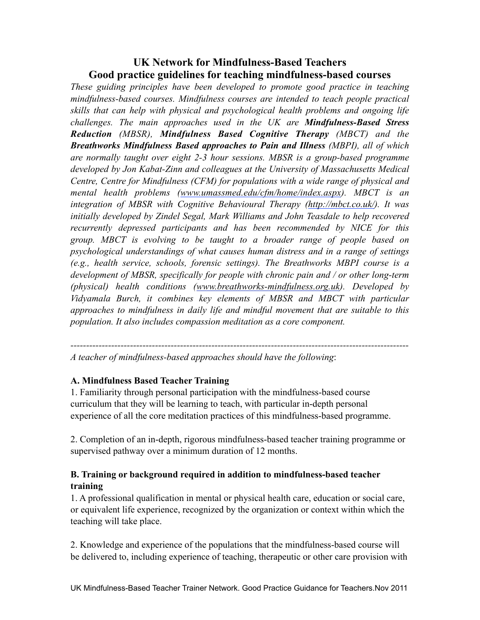## **UK Network for Mindfulness-Based Teachers Good practice guidelines for teaching mindfulness-based courses**

*These guiding principles have been developed to promote good practice in teaching mindfulness-based courses. Mindfulness courses are intended to teach people practical skills that can help with physical and psychological health problems and ongoing life challenges. The main approaches used in the UK are Mindfulness-Based Stress Reduction (MBSR), Mindfulness Based Cognitive Therapy (MBCT) and the Breathworks Mindfulness Based approaches to Pain and Illness (MBPI), all of which are normally taught over eight 2-3 hour sessions. MBSR is a group-based programme developed by Jon Kabat-Zinn and colleagues at the University of Massachusetts Medical Centre, Centre for Mindfulness (CFM) for populations with a wide range of physical and mental health problems [\(www.umassmed.edu/cfm/home/index.aspx](http://www.umassmed.edu/cfm/home/index.aspx)). MBCT is an integration of MBSR with Cognitive Behavioural Therapy [\(http://mbct.co.uk/\)](http://mbct.co.uk/). It was initially developed by Zindel Segal, Mark Williams and John Teasdale to help recovered recurrently depressed participants and has been recommended by NICE for this group. MBCT is evolving to be taught to a broader range of people based on psychological understandings of what causes human distress and in a range of settings (e.g., health service, schools, forensic settings). The Breathworks MBPI course is a development of MBSR, specifically for people with chronic pain and / or other long-term (physical) health conditions ([www.breathworks-mindfulness.org.uk\)](http://www.breathworks-mindfulness.org.uk). Developed by Vidyamala Burch, it combines key elements of MBSR and MBCT with particular approaches to mindfulness in daily life and mindful movement that are suitable to this population. It also includes compassion meditation as a core component.* 

*------------------------------------------------------------------------------------------------------------*

*A teacher of mindfulness-based approaches should have the following*:

## **A. Mindfulness Based Teacher Training**

1. Familiarity through personal participation with the mindfulness-based course curriculum that they will be learning to teach, with particular in-depth personal experience of all the core meditation practices of this mindfulness-based programme.

2. Completion of an in-depth, rigorous mindfulness-based teacher training programme or supervised pathway over a minimum duration of 12 months.

## **B. Training or background required in addition to mindfulness-based teacher training**

1. A professional qualification in mental or physical health care, education or social care, or equivalent life experience, recognized by the organization or context within which the teaching will take place.

2. Knowledge and experience of the populations that the mindfulness-based course will be delivered to, including experience of teaching, therapeutic or other care provision with